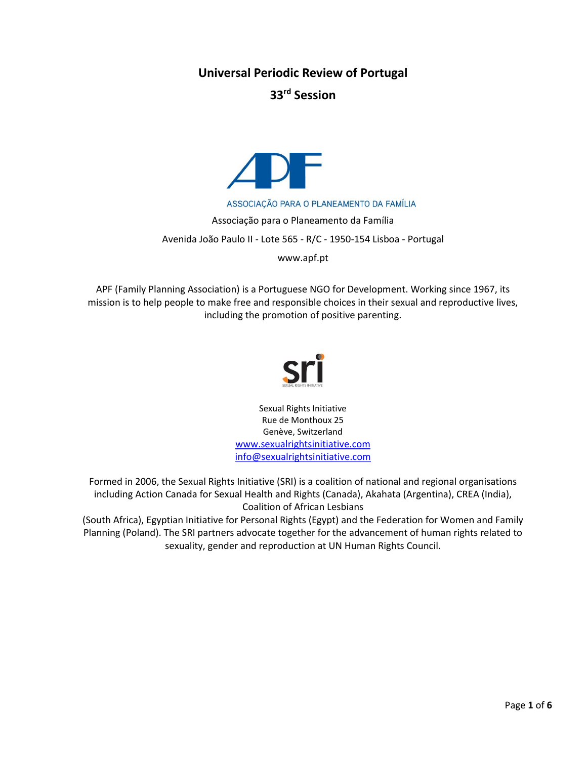**Universal Periodic Review of Portugal**

**33 rd Session**



ASSOCIAÇÃO PARA O PLANEAMENTO DA FAMÍLIA

Associação para o Planeamento da Família Avenida João Paulo II - Lote 565 - R/C - 1950-154 Lisboa - Portugal

www.apf.pt

APF (Family Planning Association) is a Portuguese NGO for Development. Working since 1967, its mission is to help people to make free and responsible choices in their sexual and reproductive lives, including the promotion of positive parenting.



Sexual Rights Initiative Rue de Monthoux 25 Genève, Switzerland [www.sexualrightsinitiative.com](http://www.sexualrightsinitiative.com/) [info@sexualrightsinitiative.com](mailto:info@sexualrightsinitiative.com)

Formed in 2006, the Sexual Rights Initiative (SRI) is a coalition of national and regional organisations including Action Canada for Sexual Health and Rights (Canada), Akahata (Argentina), CREA (India), Coalition of African Lesbians

(South Africa), Egyptian Initiative for Personal Rights (Egypt) and the Federation for Women and Family Planning (Poland). The SRI partners advocate together for the advancement of human rights related to sexuality, gender and reproduction at UN Human Rights Council.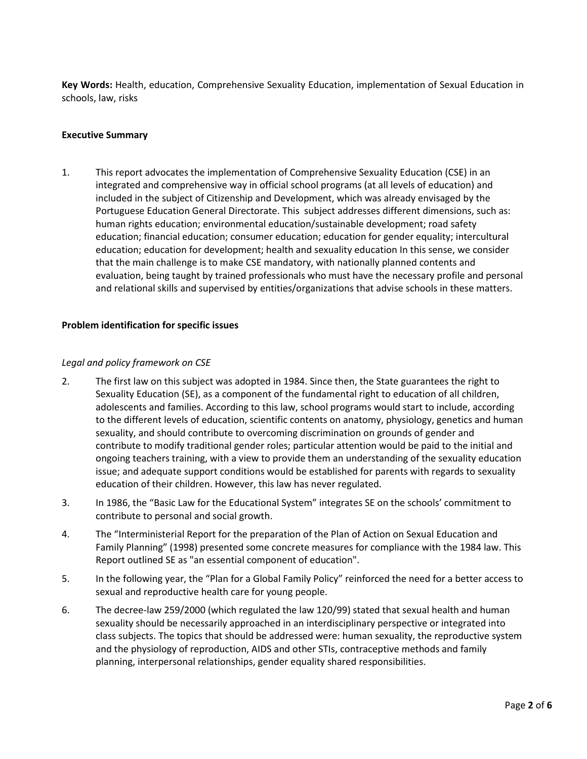**Key Words:** Health, education, Comprehensive Sexuality Education, implementation of Sexual Education in schools, law, risks

## **Executive Summary**

1. This report advocates the implementation of Comprehensive Sexuality Education (CSE) in an integrated and comprehensive way in official school programs (at all levels of education) and included in the subject of Citizenship and Development, which was already envisaged by the Portuguese Education General Directorate. This subject addresses different dimensions, such as: human rights education; environmental education/sustainable development; road safety education; financial education; consumer education; education for gender equality; intercultural education; education for development; health and sexuality education In this sense, we consider that the main challenge is to make CSE mandatory, with nationally planned contents and evaluation, being taught by trained professionals who must have the necessary profile and personal and relational skills and supervised by entities/organizations that advise schools in these matters.

## **Problem identification for specific issues**

## *Legal and policy framework on CSE*

- 2. The first law on this subject was adopted in 1984. Since then, the State guarantees the right to Sexuality Education (SE), as a component of the fundamental right to education of all children, adolescents and families. According to this law, school programs would start to include, according to the different levels of education, scientific contents on anatomy, physiology, genetics and human sexuality, and should contribute to overcoming discrimination on grounds of gender and contribute to modify traditional gender roles; particular attention would be paid to the initial and ongoing teachers training, with a view to provide them an understanding of the sexuality education issue; and adequate support conditions would be established for parents with regards to sexuality education of their children. However, this law has never regulated.
- 3. In 1986, the "Basic Law for the Educational System" integrates SE on the schools' commitment to contribute to personal and social growth.
- 4. The "Interministerial Report for the preparation of the Plan of Action on Sexual Education and Family Planning" (1998) presented some concrete measures for compliance with the 1984 law. This Report outlined SE as "an essential component of education".
- 5. In the following year, the "Plan for a Global Family Policy" reinforced the need for a better access to sexual and reproductive health care for young people.
- 6. The decree-law 259/2000 (which regulated the law 120/99) stated that sexual health and human sexuality should be necessarily approached in an interdisciplinary perspective or integrated into class subjects. The topics that should be addressed were: human sexuality, the reproductive system and the physiology of reproduction, AIDS and other STIs, contraceptive methods and family planning, interpersonal relationships, gender equality shared responsibilities.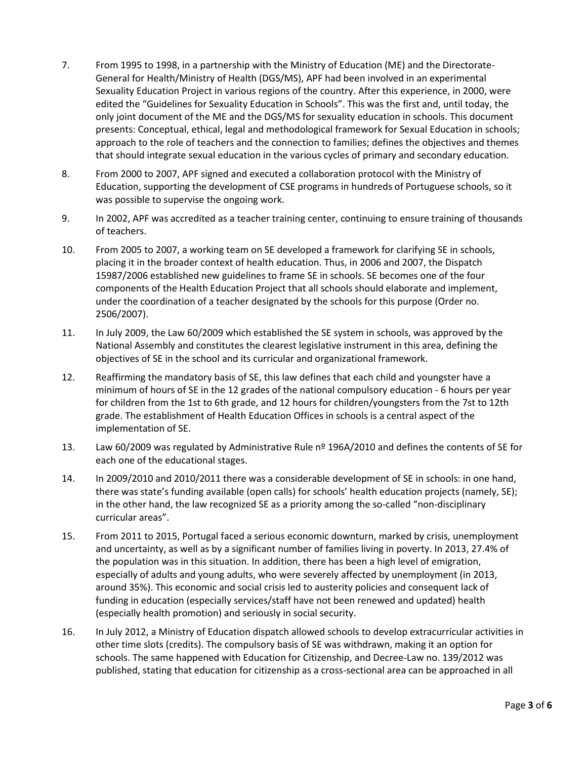- 7. From 1995 to 1998, in a partnership with the Ministry of Education (ME) and the Directorate-General for Health/Ministry of Health (DGS/MS), APF had been involved in an experimental Sexuality Education Project in various regions of the country. After this experience, in 2000, were edited the "Guidelines for Sexuality Education in Schools". This was the first and, until today, the only joint document of the ME and the DGS/MS for sexuality education in schools. This document presents: Conceptual, ethical, legal and methodological framework for Sexual Education in schools; approach to the role of teachers and the connection to families; defines the objectives and themes that should integrate sexual education in the various cycles of primary and secondary education.
- 8. From 2000 to 2007, APF signed and executed a collaboration protocol with the Ministry of Education, supporting the development of CSE programs in hundreds of Portuguese schools, so it was possible to supervise the ongoing work.
- 9. In 2002, APF was accredited as a teacher training center, continuing to ensure training of thousands of teachers.
- 10. From 2005 to 2007, a working team on SE developed a framework for clarifying SE in schools, placing it in the broader context of health education. Thus, in 2006 and 2007, the Dispatch 15987/2006 established new guidelines to frame SE in schools. SE becomes one of the four components of the Health Education Project that all schools should elaborate and implement, under the coordination of a teacher designated by the schools for this purpose (Order no. 2506/2007).
- 11. In July 2009, the Law 60/2009 which established the SE system in schools, was approved by the National Assembly and constitutes the clearest legislative instrument in this area, defining the objectives of SE in the school and its curricular and organizational framework.
- 12. Reaffirming the mandatory basis of SE, this law defines that each child and youngster have a minimum of hours of SE in the 12 grades of the national compulsory education - 6 hours per year for children from the 1st to 6th grade, and 12 hours for children/youngsters from the 7st to 12th grade. The establishment of Health Education Offices in schools is a central aspect of the implementation of SE.
- 13. Law 60/2009 was regulated by Administrative Rule nº 196A/2010 and defines the contents of SE for each one of the educational stages.
- 14. In 2009/2010 and 2010/2011 there was a considerable development of SE in schools: in one hand, there was state's funding available (open calls) for schools' health education projects (namely, SE); in the other hand, the law recognized SE as a priority among the so-called "non-disciplinary curricular areas".
- 15. From 2011 to 2015, Portugal faced a serious economic downturn, marked by crisis, unemployment and uncertainty, as well as by a significant number of families living in poverty. In 2013, 27.4% of the population was in this situation. In addition, there has been a high level of emigration, especially of adults and young adults, who were severely affected by unemployment (in 2013, around 35%). This economic and social crisis led to austerity policies and consequent lack of funding in education (especially services/staff have not been renewed and updated) health (especially health promotion) and seriously in social security.
- 16. In July 2012, a Ministry of Education dispatch allowed schools to develop extracurricular activities in other time slots (credits). The compulsory basis of SE was withdrawn, making it an option for schools. The same happened with Education for Citizenship, and Decree-Law no. 139/2012 was published, stating that education for citizenship as a cross-sectional area can be approached in all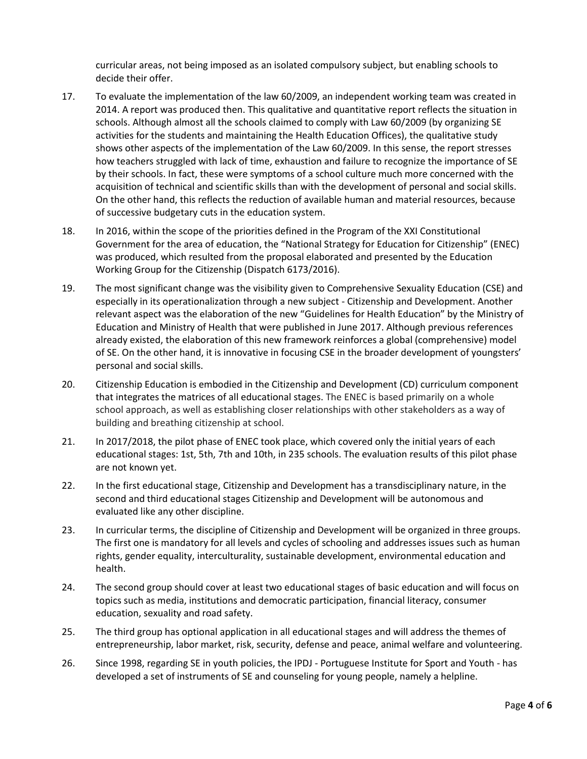curricular areas, not being imposed as an isolated compulsory subject, but enabling schools to decide their offer.

- 17. To evaluate the implementation of the law 60/2009, an independent working team was created in 2014. A report was produced then. This qualitative and quantitative report reflects the situation in schools. Although almost all the schools claimed to comply with Law 60/2009 (by organizing SE activities for the students and maintaining the Health Education Offices), the qualitative study shows other aspects of the implementation of the Law 60/2009. In this sense, the report stresses how teachers struggled with lack of time, exhaustion and failure to recognize the importance of SE by their schools. In fact, these were symptoms of a school culture much more concerned with the acquisition of technical and scientific skills than with the development of personal and social skills. On the other hand, this reflects the reduction of available human and material resources, because of successive budgetary cuts in the education system.
- 18. In 2016, within the scope of the priorities defined in the Program of the XXI Constitutional Government for the area of education, the "National Strategy for Education for Citizenship" (ENEC) was produced, which resulted from the proposal elaborated and presented by the Education Working Group for the Citizenship [\(Dispatch 6173/2016\)](http://www.dge.mec.pt/sites/default/files/Projetos_Curriculares/Aprendizagens_Essenciais/2016_despacho6173.pdf).
- 19. The most significant change was the visibility given to Comprehensive Sexuality Education (CSE) and especially in its operationalization through a new subject - Citizenship and Development. Another relevant aspect was the elaboration of the new "Guidelines for Health Education" by the Ministry of Education and Ministry of Health that were published in June 2017. Although previous references already existed, the elaboration of this new framework reinforces a global (comprehensive) model of SE. On the other hand, it is innovative in focusing CSE in the broader development of youngsters' personal and social skills.
- 20. Citizenship Education is embodied in the Citizenship and Development (CD) curriculum component that integrates the matrices of all educational stages. The ENEC is based primarily on a whole school approach, as well as establishing closer relationships with other stakeholders as a way of building and breathing citizenship at school.
- 21. In 2017/2018, the pilot phase of ENEC took place, which covered only the initial years of each educational stages: 1st, 5th, 7th and 10th, in 235 schools. The evaluation results of this pilot phase are not known yet.
- 22. In the first educational stage, Citizenship and Development has a transdisciplinary nature, in the second and third educational stages Citizenship and Development will be autonomous and evaluated like any other discipline.
- 23. In curricular terms, the discipline of Citizenship and Development will be organized in three groups. The first one is mandatory for all levels and cycles of schooling and addresses issues such as human rights, gender equality, interculturality, sustainable development, environmental education and health.
- 24. The second group should cover at least two educational stages of basic education and will focus on topics such as media, institutions and democratic participation, financial literacy, consumer education, sexuality and road safety.
- 25. The third group has optional application in all educational stages and will address the themes of entrepreneurship, labor market, risk, security, defense and peace, animal welfare and volunteering.
- 26. Since 1998, regarding SE in youth policies, the IPDJ Portuguese Institute for Sport and Youth has developed a set of instruments of SE and counseling for young people, namely a helpline.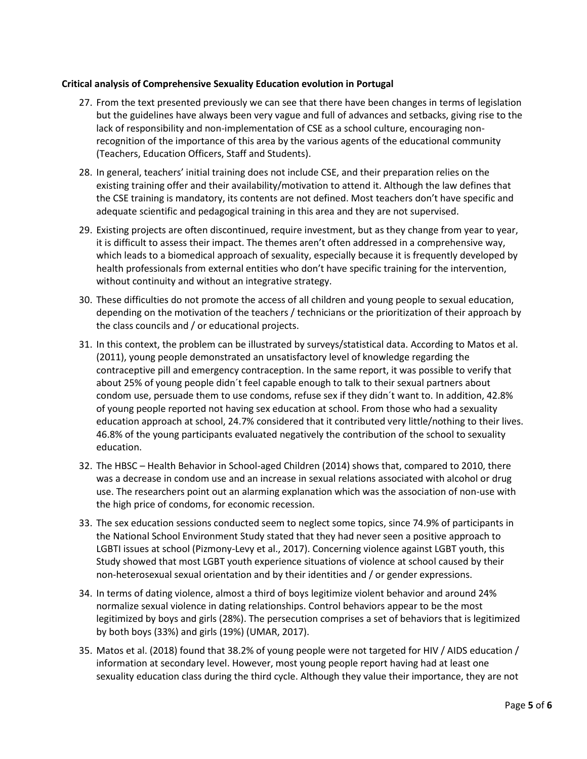# **Critical analysis of Comprehensive Sexuality Education evolution in Portugal**

- 27. From the text presented previously we can see that there have been changes in terms of legislation but the guidelines have always been very vague and full of advances and setbacks, giving rise to the lack of responsibility and non-implementation of CSE as a school culture, encouraging nonrecognition of the importance of this area by the various agents of the educational community (Teachers, Education Officers, Staff and Students).
- 28. In general, teachers' initial training does not include CSE, and their preparation relies on the existing training offer and their availability/motivation to attend it. Although the law defines that the CSE training is mandatory, its contents are not defined. Most teachers don't have specific and adequate scientific and pedagogical training in this area and they are not supervised.
- 29. Existing projects are often discontinued, require investment, but as they change from year to year, it is difficult to assess their impact. The themes aren't often addressed in a comprehensive way, which leads to a biomedical approach of sexuality, especially because it is frequently developed by health professionals from external entities who don't have specific training for the intervention, without continuity and without an integrative strategy.
- 30. These difficulties do not promote the access of all children and young people to sexual education, depending on the motivation of the teachers / technicians or the prioritization of their approach by the class councils and / or educational projects.
- 31. In this context, the problem can be illustrated by surveys/statistical data. According to Matos et al. (2011), young people demonstrated an unsatisfactory level of knowledge regarding the contraceptive pill and emergency contraception. In the same report, it was possible to verify that about 25% of young people didn´t feel capable enough to talk to their sexual partners about condom use, persuade them to use condoms, refuse sex if they didn´t want to. In addition, 42.8% of young people reported not having sex education at school. From those who had a sexuality education approach at school, 24.7% considered that it contributed very little/nothing to their lives. 46.8% of the young participants evaluated negatively the contribution of the school to sexuality education.
- 32. The HBSC Health Behavior in School-aged Children (2014) shows that, compared to 2010, there was a decrease in condom use and an increase in sexual relations associated with alcohol or drug use. The researchers point out an alarming explanation which was the association of non-use with the high price of condoms, for economic recession.
- 33. The sex education sessions conducted seem to neglect some topics, since 74.9% of participants in the National School Environment Study stated that they had never seen a positive approach to LGBTI issues at school (Pizmony-Levy et al., 2017). Concerning violence against LGBT youth, this Study showed that most LGBT youth experience situations of violence at school caused by their non-heterosexual sexual orientation and by their identities and / or gender expressions.
- 34. In terms of dating violence, almost a third of boys legitimize violent behavior and around 24% normalize sexual violence in dating relationships. Control behaviors appear to be the most legitimized by boys and girls (28%). The persecution comprises a set of behaviors that is legitimized by both boys (33%) and girls (19%) (UMAR, 2017).
- 35. Matos et al. (2018) found that 38.2% of young people were not targeted for HIV / AIDS education / information at secondary level. However, most young people report having had at least one sexuality education class during the third cycle. Although they value their importance, they are not